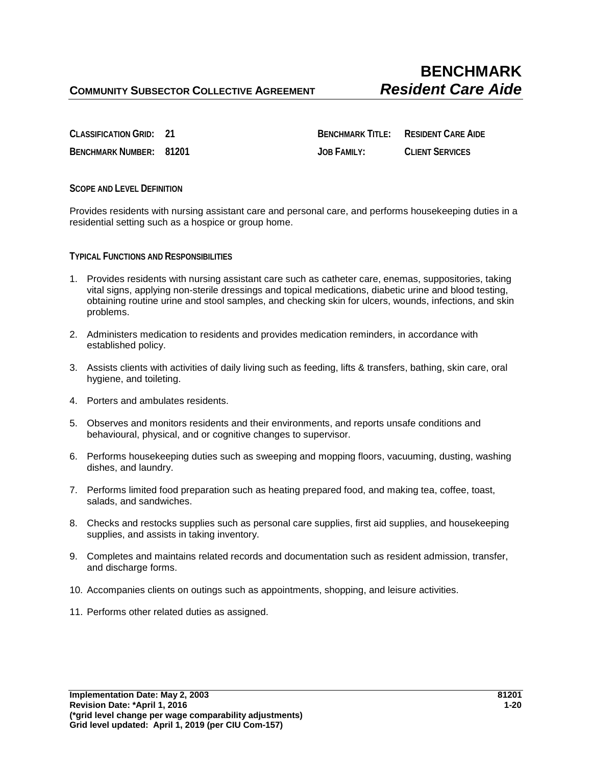**CLASSIFICATION GRID: 21 BENCHMARK TITLE: RESIDENT CARE AIDE BENCHMARK NUMBER: 81201 JOB FAMILY: CLIENT SERVICES**

**SCOPE AND LEVEL DEFINITION**

Provides residents with nursing assistant care and personal care, and performs housekeeping duties in a residential setting such as a hospice or group home.

**TYPICAL FUNCTIONS AND RESPONSIBILITIES** 

- 1. Provides residents with nursing assistant care such as catheter care, enemas, suppositories, taking vital signs, applying non-sterile dressings and topical medications, diabetic urine and blood testing, obtaining routine urine and stool samples, and checking skin for ulcers, wounds, infections, and skin problems.
- 2. Administers medication to residents and provides medication reminders, in accordance with established policy.
- 3. Assists clients with activities of daily living such as feeding, lifts & transfers, bathing, skin care, oral hygiene, and toileting.
- 4. Porters and ambulates residents.
- 5. Observes and monitors residents and their environments, and reports unsafe conditions and behavioural, physical, and or cognitive changes to supervisor.
- 6. Performs housekeeping duties such as sweeping and mopping floors, vacuuming, dusting, washing dishes, and laundry.
- 7. Performs limited food preparation such as heating prepared food, and making tea, coffee, toast, salads, and sandwiches.
- 8. Checks and restocks supplies such as personal care supplies, first aid supplies, and housekeeping supplies, and assists in taking inventory.
- 9. Completes and maintains related records and documentation such as resident admission, transfer, and discharge forms.
- 10. Accompanies clients on outings such as appointments, shopping, and leisure activities.
- 11. Performs other related duties as assigned.